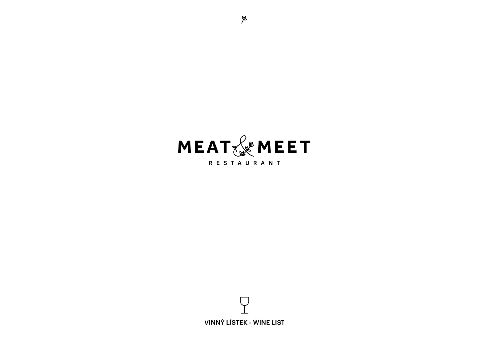

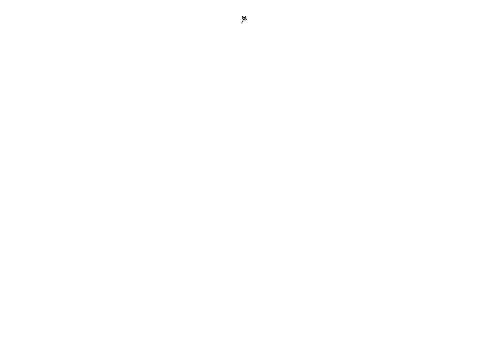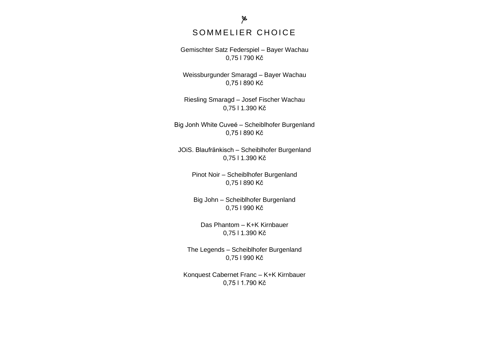## SOMMELIER CHOICE

Gemischter Satz Federspiel – Bayer Wachau 0,75 l 790 Kč

Weissburgunder Smaragd – Bayer Wachau 0,75 l 890 Kč

Riesling Smaragd – Josef Fischer Wachau 0,75 l 1.390 Kč

Big Jonh White Cuveé – Scheiblhofer Burgenland 0,75 l 890 Kč

JOiS. Blaufränkisch – Scheiblhofer Burgenland 0,75 l 1.390 Kč

Pinot Noir – Scheiblhofer Burgenland 0,75 l 890 Kč

Big John – Scheiblhofer Burgenland 0,75 l 990 Kč

Das Phantom – K+K Kirnbauer 0,75 l 1.390 Kč

The Legends – Scheiblhofer Burgenland 0,75 l 990 Kč

Konquest Cabernet Franc – K+K Kirnbauer 0,75 l 1.790 Kč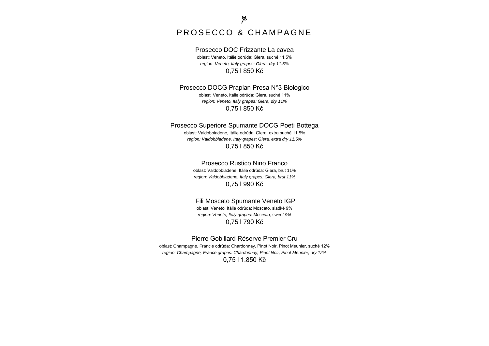# × PROSECCO & CHAMPAGNE

#### Prosecco DOC Frizzante La cavea

oblast: Veneto, Itálie odrůda: Glera, suché 11,5% *region: Veneto, Italy grapes: Glera, dry 11.5%* 0,75 l 850 Kč

#### Prosecco DOCG Prapian Presa N°3 Biologico

oblast: Veneto, Itálie odrůda: Glera, suché 11% *region: Veneto, Italy grapes: Glera, dry 11%* 0,75 l 850 Kč

#### Prosecco Superiore Spumante DOCG Poeti Bottega

oblast: Valdobbiadene, Itálie odrůda: Glera, extra suché 11,5% *region: Valdobbiadene, Italy grapes: Glera, extra dry 11.5%* 0,75 l 850 Kč

### Prosecco Rustico Nino Franco

oblast: Valdobbiadene, Itálie odrůda: Glera, brut 11% *region: Valdobbiadene, Italy grapes: Glera, brut 11%* 0,75 l 990 Kč

#### Fili Moscato Spumante Veneto IGP

oblast: Veneto, Itálie odrůda: Moscato, sladké 9% *region: Veneto, Italy grapes: Moscato, sweet 9%*  0,75 l 790 Kč

#### Pierre Gobillard Réserve Premier Cru

oblast: Champagne, Francie odrůda: Chardonnay, Pinot Noir, Pinot Meunier, suché 12% *region: Champagne, France grapes: Chardonnay, Pinot Noir, Pinot Meunier, dry 12%*  0,75 l 1.850 Kč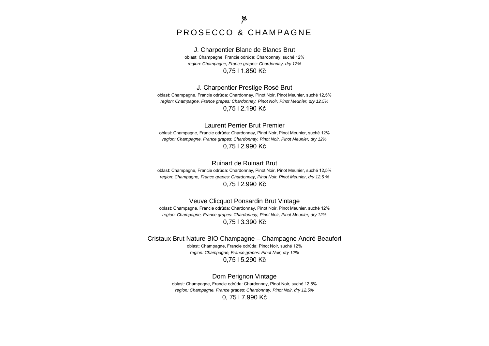## × PROSECCO & CHAMPAGNE

J. Charpentier Blanc de Blancs Brut oblast: Champagne, Francie odrůda: Chardonnay, suché 12% *region: Champagne, France grapes: Chardonnay, dry 12%* 0,75 l 1.850 Kč

#### J. Charpentier Prestige Rosé Brut

oblast: Champagne, Francie odrůda: Chardonnay, Pinot Noir, Pinot Meunier, suché 12,5% *region: Champagne, France grapes: Chardonnay, Pinot Noir, Pinot Meunier, dry 12.5%* 0,75 l 2.190 Kč

#### Laurent Perrier Brut Premier

oblast: Champagne, Francie odrůda: Chardonnay, Pinot Noir, Pinot Meunier, suché 12% *region: Champagne, France grapes: Chardonnay, Pinot Noir, Pinot Meunier, dry 12%* 0,75 l 2.990 Kč

#### Ruinart de Ruinart Brut

oblast: Champagne, Francie odrůda: Chardonnay, Pinot Noir, Pinot Meunier, suché 12,5% *region: Champagne, France grapes: Chardonnay, Pinot Noir, Pinot Meunier, dry 12.5 %* 0,75 l 2.990 Kč

#### Veuve Clicquot Ponsardin Brut Vintage

oblast: Champagne, Francie odrůda: Chardonnay, Pinot Noir, Pinot Meunier, suché 12% *region: Champagne, France grapes: Chardonnay, Pinot Noir, Pinot Meunier, dry 12%* 0,75 l 3.390 Kč

Cristaux Brut Nature BIO Champagne – Champagne André Beaufort oblast: Champagne, Francie odrůda: Pinot Noir, suché 12% *region: Champagne, France grapes: Pinot Noir, dry 12%* 0,75 l 5.290 Kč

> Dom Perignon Vintage oblast: Champagne, Francie odrůda: Chardonnay, Pinot Noir, suché 12,5% *region: Champagne, France grapes: Chardonnay, Pinot Noir, dry 12.5%*  0, 75 l 7.990 Kč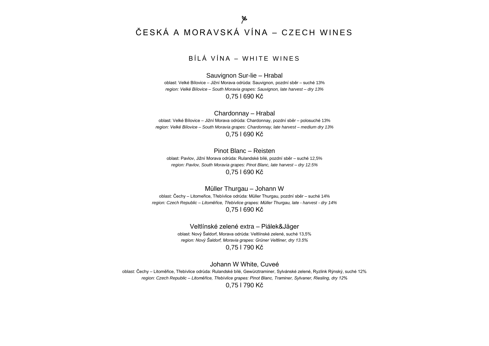# ۴ ČESKÁ A MORAVSKÁ VÍNA – CZECH WINES

## $B$   $I$   $I$   $A$   $V$   $I$   $N$   $A$   $W$   $H$   $I$   $T$   $F$   $W$   $I$   $N$   $F$   $S$

#### Sauvignon Sur-lie – Hrabal

oblast: Velké Bílovice – Jižní Morava odrůda: Sauvignon, pozdní sběr – suché 13% *region: Velké Bílovice – South Moravia grapes: Sauvignon, late harvest – dry 13%* 0,75 l 690 Kč

Chardonnay – Hrabal

oblast: Velké Bílovice – Jižní Morava odrůda: Chardonnay, pozdní sběr – polosuché 13% *region: Velké Bílovice – South Moravia grapes: Chardonnay, late harvest – medium dry 13%* 0,75 l 690 Kč

Pinot Blanc – Reisten oblast: Pavlov, Jižní Morava odrůda: Rulandské bílé, pozdní sběr – suché 12,5% *region: Pavlov, South Moravia grapes: Pinot Blanc, late harvest – dry 12.5%* 0,75 l 690 Kč

Müller Thurgau – Johann W oblast: Čechy – Litomeřice, Třebívlice odrůda: Müller Thurgau, pozdní sběr – suché 14% *region: Czech Republic – Litoměřice, Třebívlice grapes: Müller Thurgau, late - harvest - dry 14%* 0,75 l 690 Kč

> Veltlínské zelené extra – Piálek&Jäger oblast: Nový Šaldorf, Morava odrůda: Veltlínské zelené, suché 13,5% *region: Nový Šaldorf, Moravia grapes: Grüner Veltliner, dry 13.5%* 0,75 l 790 Kč

Johann W White, Cuveé oblast: Čechy – Litoměřice, Třebívlice odrůda: Rulandské bílé, Gewürztraminer, Sylvánské zelené, Ryzlink Rýnský, suché 12% *region: Czech Republic – Litoměřice, Třebívlice grapes: Pinot Blanc, Traminer, Sylvaner, Riesling, dry 12%*

0,75 l 790 Kč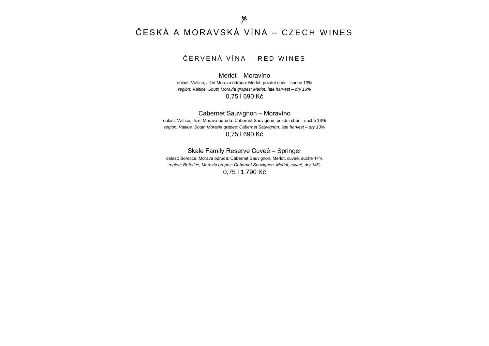# ۴ ČESKÁ A MORAVSKÁ VÍNA – CZECH WINES

## ČERVENÁ VÍNA – RED WINES

#### Merlot – Moravíno

oblast: Valtice, Jižní Morava odrůda: Merlot, pozdní sběr – suché 13% *region: Valtice, South Moravia grapes: Merlot, late harvest – dry 13%* 0,75 l 690 Kč

Cabernet Sauvignon – Moravíno

oblast: Valtice, Jižní Morava odrůda: Cabernet Sauvignon, pozdní sběr – suché 13% *region: Valtice, South Moravia grapes: Cabernet Sauvignon, late harvest – dry 13%* 0,75 l 690 Kč

#### Skale Family Reserve Cuveé – Springer

oblast: Bořetice, Morava odrůda: Cabernet Sauvignon, Merlot, cuveé, suché 14% *region: Bořetice, Moravia grapes: Cabernet Sauvignon, Merlot, cuveé, dry 14%* 0,75 l 1.790 Kč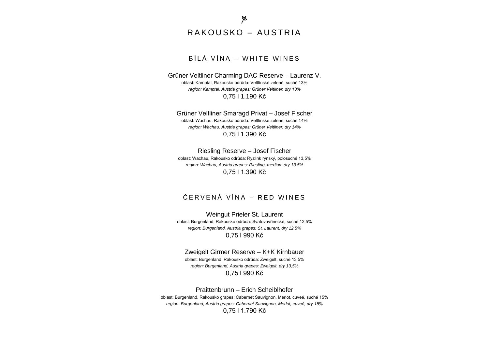## × RAKOUSKO – AUSTRIA

## BÍI Á VÍNA – WHITE WINES

#### Grüner Veltliner Charming DAC Reserve – Laurenz V.

oblast: Kamptal, Rakousko odrůda: Veltlínské zelené, suché 13% *region: Kamptal, Austria grapes: Grüner Veltliner, dry 13%* 0,75 l 1.190 Kč

#### Grüner Veltliner Smaragd Privat – Josef Fischer

oblast: Wachau, Rakousko odrůda: Veltlínské zelené, suché 14% *region: Wachau, Austria grapes: Grüner Veltliner, dry 14%* 0,75 l 1.390 Kč

Riesling Reserve – Josef Fischer oblast: Wachau, Rakousko odrůda: Ryzlink rýnský, polosuché 13,5% *region: Wachau, Austria grapes: Riesling, medium dry 13,5%* 0,75 l 1.390 Kč

### ČERVENÁ VÍNA – RED WINES

Weingut Prieler St. Laurent oblast: Burgenland, Rakousko odrůda: Svatovavřinecké, suché 12,5% *region: Burgenland, Austria grapes: St. Laurent, dry 12.5%* 0,75 l 990 Kč

Zweigelt Girmer Reserve – K+K Kirnbauer oblast: Burgenland, Rakousko odrůda: Zweigelt, suché 13,5% *region: Burgenland, Austria grapes: Zweigelt, dry 13,5%* 0,75 l 990 Kč

Praittenbrunn – Erich Scheiblhofer oblast: Burgenland, Rakousko grapes: Cabernet Sauvignon, Merlot, cuveé, suché 15% *region: Burgenland, Austria grapes: Cabernet Sauvignon, Merlot, cuveé, dry 15%* 0,75 l 1.790 Kč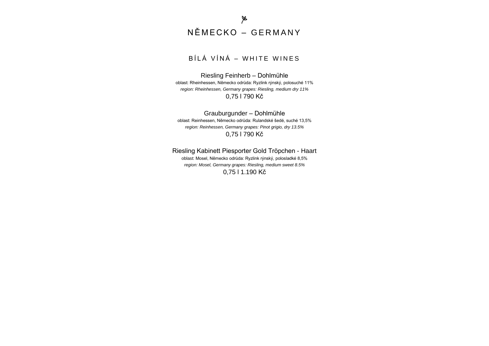## ۴ N Ě M E C K O – G E R M A N Y

## BÍLÁ VÍNÁ – WHITE WINES

#### Riesling Feinherb – Dohlmühle

oblast: Rheinhessen, Německo odrůda: Ryzlink rýnský, polosuché 11% *region: Rheinhessen, Germany grapes: Riesling, medium dry 11%* 0,75 l 790 Kč

Grauburgunder – Dohlmühle

oblast: Reinhessen, Německo odrůda: Rulandské šedé, suché 13,5% *region: Reinhessen, Germany grapes: Pinot grigio, dry 13.5%* 0,75 l 790 Kč

Riesling Kabinett Piesporter Gold Tröpchen - Haart oblast: Mosel, Německo odrůda: Ryzlink rýnský, polosladké 8,5% *region: Mosel, Germany grapes: Riesling, medium sweet 8.5%* 0,75 l 1.190 Kč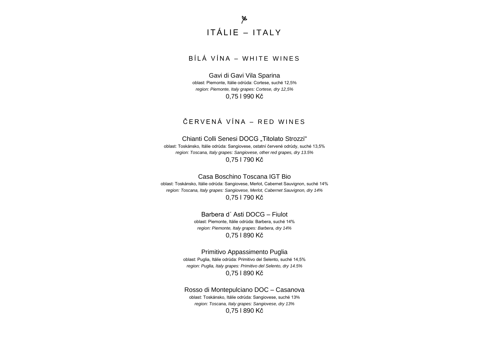

## $BILÁ VÍNA - WHITE WINES$

Gavi di Gavi Vila Sparina oblast: Piemonte, Itálie odrůda: Cortese, suché 12,5% *region: Piemonte, Italy grapes: Cortese, dry 12,5%* 0,75 l 990 Kč

### ČERVENÁ VÍNA – RED WINES

Chianti Colli Senesi DOCG "Titolato Strozzi" oblast: Toskánsko, Itálie odrůda: Sangiovese, ostatní červené odrůdy, suché 13,5% *region: Toscana, Italy grapes: Sangiovese, other red grapes, dry 13.5%* 0,75 l 790 Kč

#### Casa Boschino Toscana IGT Bio

oblast: Toskánsko, Itálie odrůda: Sangiovese, Merlot, Cabernet Sauvignon, suché 14% *region: Toscana, Italy grapes: Sangiovese, Merlot, Cabernet Sauvignon, dry 14%* 0,75 l 790 Kč

#### Barbera d´ Asti DOCG – Fiulot

oblast: Piemonte, Itálie odrůda: Barbera, suché 14% *region: Piemonte, Italy grapes: Barbera, dry 14%* 0,75 l 890 Kč

#### Primitivo Appassimento Puglia

oblast: Puglia, Itálie odrůda: Primitivo del Selento, suché 14,5% *region: Puglia, Italy grapes: Primitivo del Selento, dry 14.5%* 0,75 l 890 Kč

#### Rosso di Montepulciano DOC – Casanova oblast: Toskánsko, Itálie odrůda: Sangiovese, suché 13% *region: Toscana, Italy grapes: Sangiovese, dry 13%* 0,75 l 890 Kč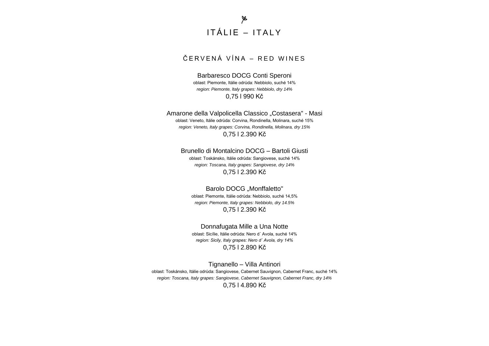

## ČERVENÁ VÍNA – RED WINES

Barbaresco DOCG Conti Speroni

oblast: Piemonte, Itálie odrůda: Nebbiolo, suché 14% *region: Piemonte, ltaly grapes: Nebbiolo, dry 14%* 0,75 l 990 Kč

#### Amarone della Valpolicella Classico "Costasera" - Masi

oblast: Veneto, Itálie odrůda: Corvina, Rondinella, Molinara, suché 15% *region: Veneto, Italy grapes: Corvina, Rondinella, Molinara, dry 15%*  0,75 l 2.390 Kč

#### Brunello di Montalcino DOCG – Bartoli Giusti

oblast: Toskánsko, Itálie odrůda: Sangiovese, suché 14% *region: Toscana, Italy grapes: Sangiovese, dry 14%* 0,75 l 2.390 Kč

#### Barolo DOCG ..Monffaletto"

oblast: Piemonte, Itálie odrůda: Nebbiolo, suché 14,5% *region: Piemonte, Italy grapes: Nebbiolo, dry 14.5%* 0,75 l 2.390 Kč

#### Donnafugata Mille a Una Notte

oblast: Sicílie, Itálie odrůda: Nero d´ Avola, suché 14% *region: Sicily, Italy grapes: Nero d´ Avola, dry 14%* 0,75 l 2.890 Kč

Tignanello – Villa Antinori oblast: Toskánsko, Itálie odrůda: Sangiovese, Cabernet Sauvignon, Cabernet Franc, suché 14% *region: Toscana, Italy grapes: Sangiovese, Cabernet Sauvignon, Cabernet Franc, dry 14%* 0,75 l 4.890 Kč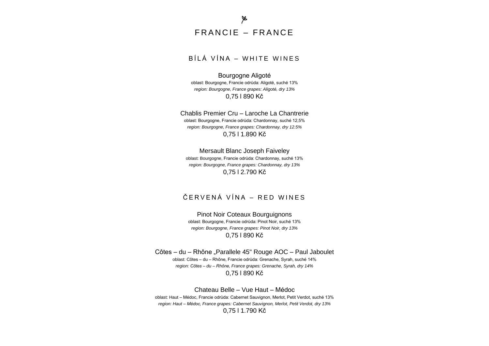# ×  $FR ANC$   $E$  –  $FR ANC$   $E$

### $BILÁ VÍNA - WHITE WINES$

#### Bourgogne Aligoté

oblast: Bourgogne, Francie odrůda: Aligoté, suché 13% *region: Bourgogne, France grapes: Aligoté, dry 13%* 0,75 l 890 Kč

#### Chablis Premier Cru – Laroche La Chantrerie

oblast: Bourgogne, Francie odrůda: Chardonnay, suché 12,5% *region: Bourgogne, France grapes: Chardonnay, dry 12.5%*  0,75 l 1.890 Kč

#### Mersault Blanc Joseph Faiveley

oblast: Bourgogne, Francie odrůda: Chardonnay, suché 13% *region: Bourgogne, France grapes: Chardonnay, dry 13%*  0,75 l 2.790 Kč

## ČERVENÁ VÍNA – RED WINES

Pinot Noir Coteaux Bourguignons oblast: Bourgogne, Francie odrůda: Pinot Noir, suché 13% *region: Bourgogne, France grapes: Pinot Noir, dry 13%* 0,75 l 890 Kč

Côtes – du – Rhône "Parallele 45" Rouge AOC – Paul Jaboulet oblast: Côtes – du – Rhône, Francie odrůda: Grenache, Syrah, suché 14% *region: Côtes – du – Rhône, France grapes: Grenache, Syrah, dry 14%* 0,75 l 890 Kč

#### Chateau Belle – Vue Haut – Médoc

oblast: Haut – Médoc, Francie odrůda: Cabernet Sauvignon, Merlot, Petit Verdot, suché 13% *region: Haut – Médoc, France grapes: Cabernet Sauvignon, Merlot, Petit Verdot, dry 13%*  0,75 l 1.790 Kč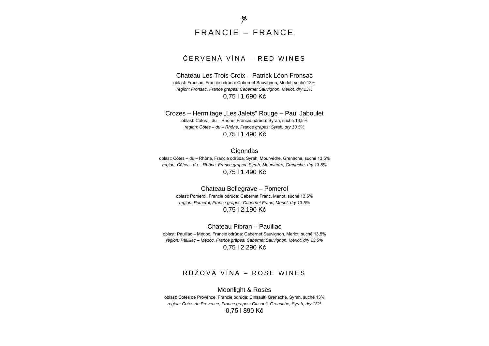## ×  $FR ANC$   $E$  –  $FR ANC$   $E$

## $ČFRVFNÁ VÍNA - RFD WINES$

Chateau Les Trois Croix – Patrick Léon Fronsac

oblast: Fronsac, Francie odrůda: Cabernet Sauvignon, Merlot, suché 13% *region: Fronsac, France grapes: Cabernet Sauvignon, Merlot, dry 13%* 0,75 l 1.690 Kč

#### Crozes – Hermitage "Les Jalets" Rouge – Paul Jaboulet

oblast: Côtes – du – Rhône, Francie odrůda: Syrah, suché 13,5% *region: Côtes – du – Rhône, France grapes: Syrah, dry 13.5%* 0,75 l 1.490 Kč

#### Gigondas

oblast: Côtes – du – Rhône, Francie odrůda: Syrah, Mourvédre, Grenache, suché 13,5% *region: Côtes – du – Rhône, France grapes: Syrah, Mourvédre, Grenache, dry 13.5%* 0,75 l 1.490 Kč

#### Chateau Bellegrave – Pomerol

oblast: Pomerol, Francie odrůda: Cabernet Franc, Merlot, suché 13,5% *region: Pomerol, France grapes: Cabernet Franc, Merlot, dry 13.5%* 0,75 l 2.190 Kč

Chateau Pibran – Pauillac oblast: Pauillac – Médoc, Francie odrůda: Cabernet Sauvignon, Merlot, suché 13,5% *region: Pauillac – Médoc, France grapes: Cabernet Sauvignon, Merlot, dry 13.5%* 0,75 l 2.290 Kč

### R Ů ŽOVÁ VÍNA – ROSE WINES

#### Moonlight & Roses

oblast: Cotes de Provence, Francie odrůda: Cinsault, Grenache, Syrah, suché 13% *region: Cotes de Provence, France grapes: Cinsault, Grenache, Syrah, dry 13%* 0,75 l 890 Kč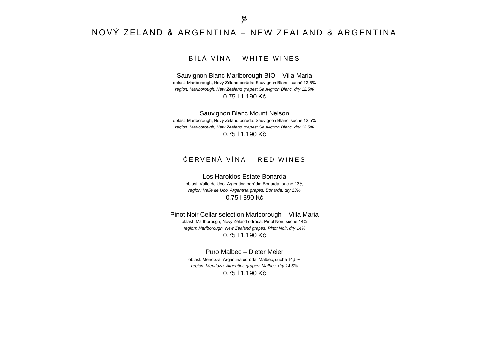×

## NOVÝ ZELAND & ARGENTINA – NEW ZEALAND & ARGENTINA

 $BILÁ VÍNA - WHITE WINES$ 

Sauvignon Blanc Marlborough BIO – Villa Maria

oblast: Marlborough, Nový Zéland odrůda: Sauvignon Blanc, suché 12,5% *region: Marlborough, New Zealand grapes: Sauvignon Blanc, dry 12.5%* 0,75 l 1.190 Kč

Sauvignon Blanc Mount Nelson

oblast: Marlborough, Nový Zéland odrůda: Sauvignon Blanc, suché 12,5% *region: Marlborough, New Zealand grapes: Sauvignon Blanc, dry 12.5%* 0,75 l 1.190 Kč

### ČERVENÁ VÍNA – RED WINES

Los Haroldos Estate Bonarda oblast: Valle de Uco, Argentina odrůda: Bonarda, suché 13% *region: Valle de Uco, Argentina grapes: Bonarda, dry 13%* 0,75 l 890 Kč

Pinot Noir Cellar selection Marlborough – Villa Maria oblast: Marlborough, Nový Zéland odrůda: Pinot Noir, suché 14% *region: Marlborough, New Zealand grapes: Pinot Noir, dry 14%*  0,75 l 1.190 Kč

> Puro Malbec – Dieter Meier oblast: Mendoza, Argentina odrůda: Malbec, suché 14,5% *region: Mendoza, Argentina grapes: Malbec, dry 14.5%* 0,75 l 1.190 Kč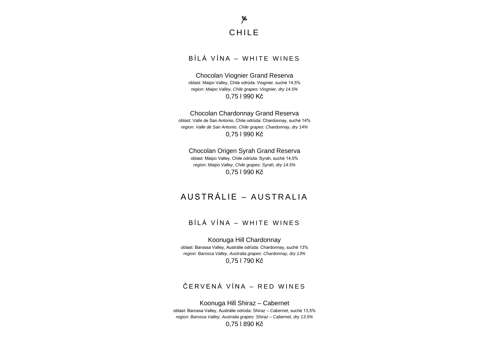# × **CHILE**

## $BILA$  VINA – WHITE WINES

#### Chocolan Viognier Grand Reserva

oblast: Maipo Valley, Chile odrůda: Viognier, suché 14,5% *region: Maipo Valley, Chile grapes: Viognier, dry 14.5%* 0,75 l 990 Kč

#### Chocolan Chardonnay Grand Reserva

oblast: Valle de San Antonio, Chile odrůda: Chardonnay, suché 14% *region: Valle de San Antonio, Chile grapes: Chardonnay, dry 14%*  0,75 l 990 Kč

Chocolan Origen Syrah Grand Reserva oblast: Maipo Valley, Chile odrůda: Syrah, suché 14,5% *region: Maipo Valley, Chile grapes: Syrah, dry 14.5%*  0,75 l 990 Kč

## AUSTRÁLIE – AUSTRALIA

## BÍLÁ VÍNA – WHITE WINES

Koonuga Hill Chardonnay oblast: Barossa Valley, Austrálie odrůda: Chardonnay, suché 13% *region: Barossa Valley, Australia grapes: Chardonnay, dry 13%*  0,75 l 790 Kč

#### ČERVENÁ VÍNA – RED WINES

Koonuga Hill Shiraz – Cabernet oblast: Barossa Valley, Austrálie odrůda: Shiraz – Cabernet, suché 13,5% *region: Barossa Valley, Australia grapes: Shiraz – Cabernet, dry 13.5%*  0,75 l 890 Kč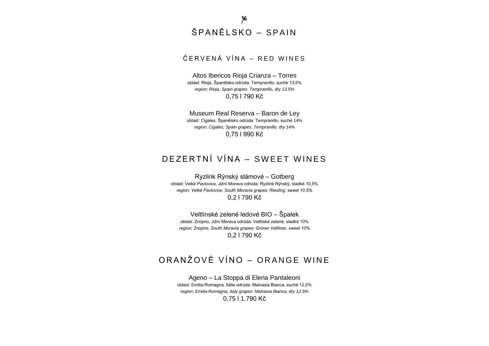## ×  $ŠPANËLSKO - SPAIN$

### ČERVENÁ VÍNA – RED WINES

Altos Ibericos Rioja Crianza – Torres oblast: Rioja, Španělsko odrůda: Tempranillo, suché 13,5% *region: Rioja, Spain grapes: Tempranillo, dry 13.5%* 0,75 l 790 Kč

Museum Real Reserva – Baron de Ley oblast: Cigales, Španělsko odrůda: Tempranillo, suché 14% *region: Cigales, Spain grapes: Tempranillo, dry 14%*

0,75 l 990 Kč

## D E Z E R T N Í VÍNA – SWE E T WINES

Ryzlink Rýnský slámové – Gotberg

oblast: Velké Pavlovice, Jižní Morava odrůda: Ryzlink Rýnský, sladké 10,5% *region: Velké Pavlovice, South Moravia grapes: Riesling, sweet 10.5%*  0,2 l 790 Kč

Veltlínské zelené ledové BIO – Špalek oblast: Znojmo, Jižní Morava odrůda: Veltlíské zelené, sladké 10% *region: Znojmo, South Moravia grapes: Grüner Veltliner, sweet 10%*  0,2 l 790 Kč

## ORANŽOVÉ VÍNO – ORANGE WINE

Ageno – La Stoppa di Elena Pantaleoni oblast: Emilia-Romagna, Itálie odrůda: Malvasia Bianca, suché 12,5% *region: Emilia-Romagna, Italy grapes: Malvasia Bianca, dry 12.5%* 0,75 l 1.790 Kč